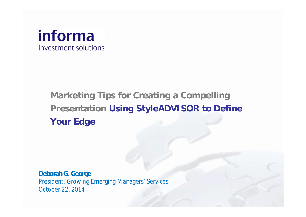## informa investment solutions

# **Marketing Tips for Creating a Compelling Presentation Using StyleADVISOR to Define Your Edge**

**Deborah G. George** President, Growing Emerging Managers' Services October 22, 2014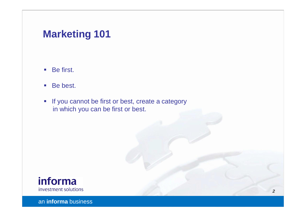## **Marketing 101**

- Be first.
- Be best.
- If you cannot be first or best, create a category in which you can be first or best.

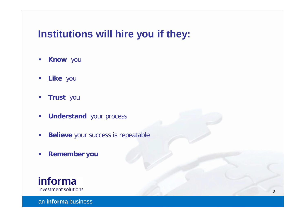## **Institutions will hire you if they:**

- § **Know** you
- § **Like** you
- § **Trust** you
- § **Understand** your process
- **Believe your success is repeatable**
- § **Remember you**

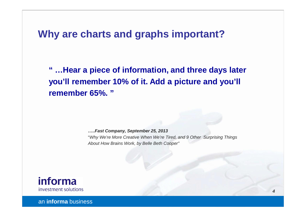#### **Why are charts and graphs important?**

**" …Hear a piece of information, and three days later you'll remember 10% of it. Add a picture and you'll remember 65%. "**

> *…..Fast Company, September 25, 2013* "*Why We're More Creative When We're Tired, and 9 Other Surprising Things About How Brains Work, by Belle Beth Cooper"*

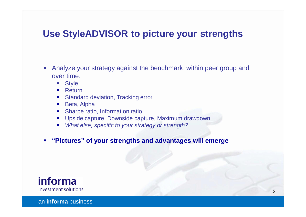#### **Use StyleADVISOR to picture your strengths**

- § Analyze your strategy against the benchmark, within peer group and over time.
	- § Style
	- **Return**
	- § Standard deviation, Tracking error
	- Beta, Alpha
	- § Sharpe ratio, Information ratio
	- Upside capture, Downside capture, Maximum drawdown
	- § *What else, specific to your strategy or strength?*
- § **"Pictures" of your strengths and advantages will emerge**

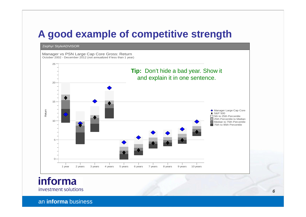## **A good example of competitive strength**



informa investment solutions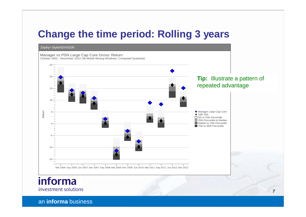## **Change the time period: Rolling 3 years**

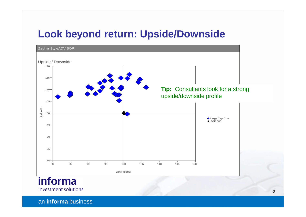### **Look beyond return: Upside/Downside**

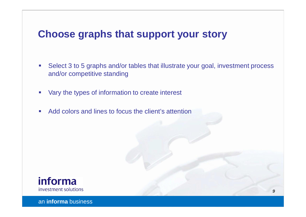## **Choose graphs that support your story**

- Select 3 to 5 graphs and/or tables that illustrate your goal, investment process and/or competitive standing
- Vary the types of information to create interest
- Add colors and lines to focus the client's attention

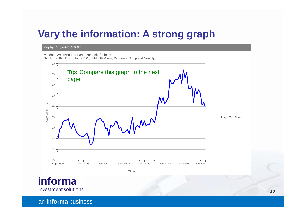## **Vary the information: A strong graph**

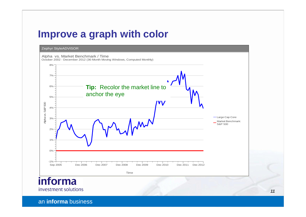### **Improve a graph with color**

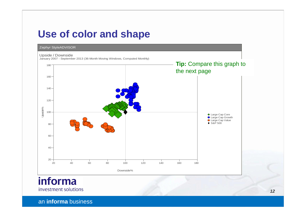#### **Use of color and shape**

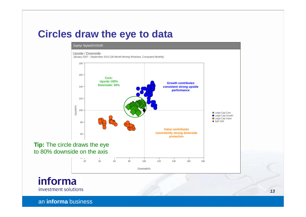#### **Circles draw the eye to data**



informa investment solutions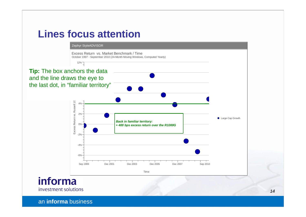## **Lines focus attention**

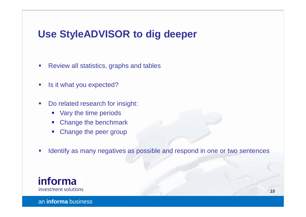## **Use StyleADVISOR to dig deeper**

- Review all statistics, graphs and tables
- **•** Is it what you expected?
- Do related research for insight:
	- § Vary the time periods
	- Change the benchmark
	- Change the peer group
- Identify as many negatives as possible and respond in one or two sentences

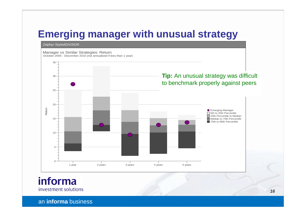## **Emerging manager with unusual strategy**



informa investment solutions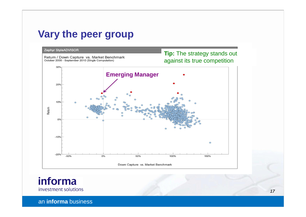#### **Vary the peer group**



informa investment solutions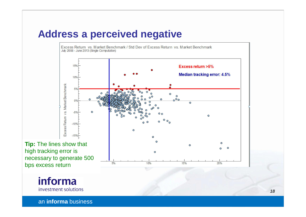## **Address a perceived negative**



**Tip:** The lines show that high tracking error is necessary to generate 500 bps excess return

> informa investment solutions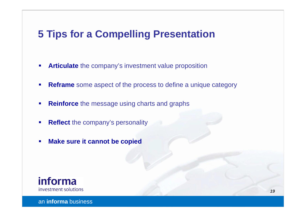## **5 Tips for a Compelling Presentation**

- **EXTENDIATE** The company's investment value proposition
- **Reframe** some aspect of the process to define a unique category
- **Reinforce** the message using charts and graphs
- **Reflect** the company's personality
- § **Make sure it cannot be copied**

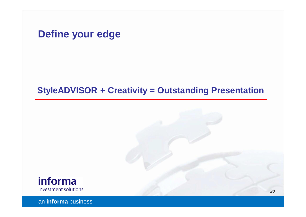**Define your edge**

#### **StyleADVISOR + Creativity = Outstanding Presentation**